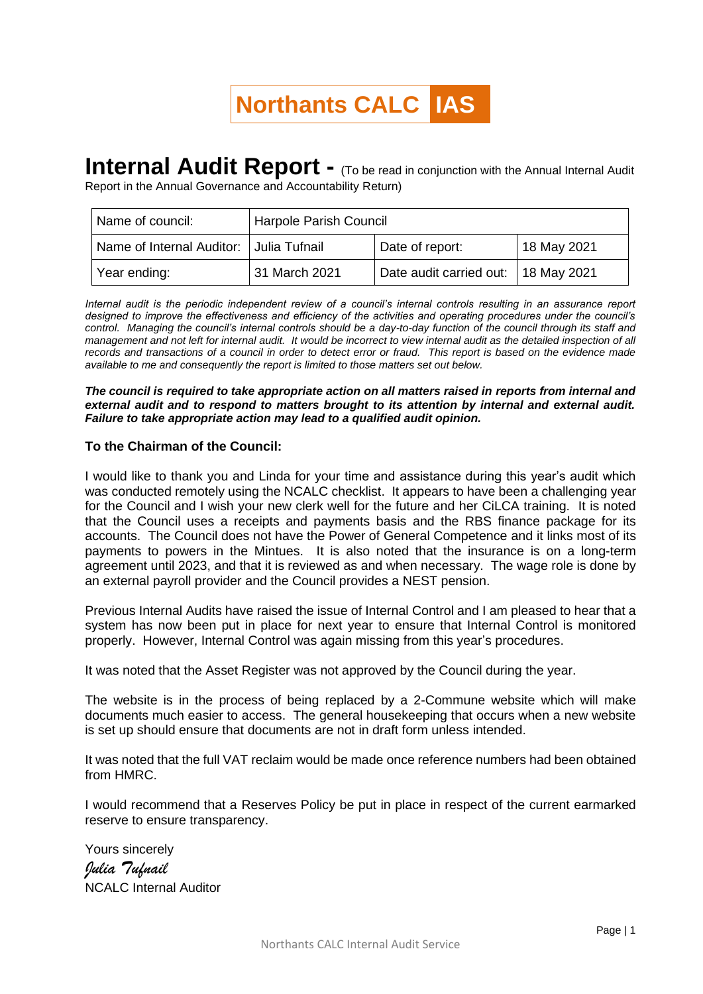## **Northants CALC IAS**

## **Internal Audit Report -** (To be read in conjunction with the Annual Internal Audit

Report in the Annual Governance and Accountability Return)

| Name of council:                        | Harpole Parish Council |                                     |             |
|-----------------------------------------|------------------------|-------------------------------------|-------------|
| Name of Internal Auditor: Julia Tufnail |                        | Date of report:                     | 18 May 2021 |
| Year ending:                            | 31 March 2021          | Date audit carried out: 18 May 2021 |             |

*Internal audit is the periodic independent review of a council's internal controls resulting in an assurance report designed to improve the effectiveness and efficiency of the activities and operating procedures under the council's control. Managing the council's internal controls should be a day-to-day function of the council through its staff and management and not left for internal audit. It would be incorrect to view internal audit as the detailed inspection of all records and transactions of a council in order to detect error or fraud. This report is based on the evidence made available to me and consequently the report is limited to those matters set out below.*

*The council is required to take appropriate action on all matters raised in reports from internal and external audit and to respond to matters brought to its attention by internal and external audit. Failure to take appropriate action may lead to a qualified audit opinion.*

## **To the Chairman of the Council:**

I would like to thank you and Linda for your time and assistance during this year's audit which was conducted remotely using the NCALC checklist. It appears to have been a challenging year for the Council and I wish your new clerk well for the future and her CiLCA training. It is noted that the Council uses a receipts and payments basis and the RBS finance package for its accounts. The Council does not have the Power of General Competence and it links most of its payments to powers in the Mintues. It is also noted that the insurance is on a long-term agreement until 2023, and that it is reviewed as and when necessary. The wage role is done by an external payroll provider and the Council provides a NEST pension.

Previous Internal Audits have raised the issue of Internal Control and I am pleased to hear that a system has now been put in place for next year to ensure that Internal Control is monitored properly. However, Internal Control was again missing from this year's procedures.

It was noted that the Asset Register was not approved by the Council during the year.

The website is in the process of being replaced by a 2-Commune website which will make documents much easier to access. The general housekeeping that occurs when a new website is set up should ensure that documents are not in draft form unless intended.

It was noted that the full VAT reclaim would be made once reference numbers had been obtained from HMRC.

I would recommend that a Reserves Policy be put in place in respect of the current earmarked reserve to ensure transparency.

Yours sincerely *Julia Tufnail* NCALC Internal Auditor